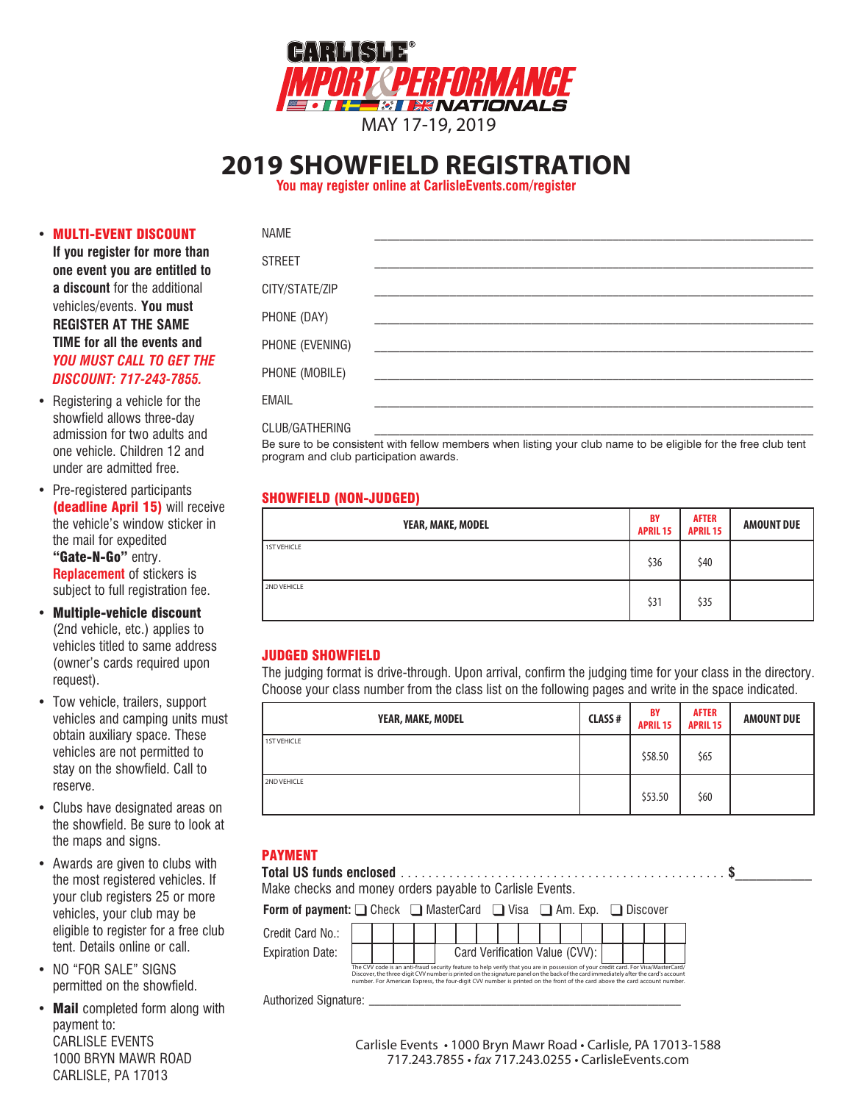

# **2019 SHOWFIELD REGISTRATION**

**You may register online at CarlisleEvents.com/register**

## • MULTI-EVENT DISCOUNT

**If you register for more than one event you are entitled to a discount** for the additional vehicles/events. **You must REGISTER AT THE SAME TIME for all the events and**  *YOU MUST CALL TO GET THE DISCOUNT: 717-243-7855.*

- Registering a vehicle for the showfield allows three-day admission for two adults and one vehicle. Children 12 and under are admitted free.
- Pre-registered participants (deadline April 15) will receive the vehicle's window sticker in the mail for expedited "Gate-N-Go" entry. **Replacement** of stickers is subject to full registration fee.
- Multiple-vehicle discount (2nd vehicle, etc.) applies to vehicles titled to same address (owner's cards required upon request).
- Tow vehicle, trailers, support vehicles and camping units must obtain auxiliary space. These vehicles are not permitted to stay on the showfield. Call to reserve.
- Clubs have designated areas on the showfield. Be sure to look at the maps and signs.
- Awards are given to clubs with the most registered vehicles. If your club registers 25 or more vehicles, your club may be eligible to register for a free club tent. Details online or call.
- NO "FOR SALE" SIGNS permitted on the showfield.
- Mail completed form along with payment to: CARLISLE EVENTS 1000 BRYN MAWR ROAD CARLISLE, PA 17013

| NAME            |                                             |  |  |
|-----------------|---------------------------------------------|--|--|
| <b>STREET</b>   |                                             |  |  |
| CITY/STATE/ZIP  |                                             |  |  |
| PHONE (DAY)     |                                             |  |  |
| PHONE (EVENING) | <u> 1980 - Jan Barbara, manazarta da Ba</u> |  |  |
| PHONE (MOBILE)  |                                             |  |  |
| <b>EMAIL</b>    |                                             |  |  |
| CLUB/GATHERING  |                                             |  |  |

Be sure to be consistent with fellow members when listing your club name to be eligible for the free club tent program and club participation awards.

# SHOWFIELD (NON-JUDGED)

| YEAR, MAKE, MODEL  | BY<br><b>APRIL 15</b> | <b>AFTER</b><br><b>APRIL 15</b> | <b>AMOUNT DUE</b> |  |  |
|--------------------|-----------------------|---------------------------------|-------------------|--|--|
| <b>1ST VEHICLE</b> | \$36                  | \$40                            |                   |  |  |
| 2ND VEHICLE        | \$31                  | \$35                            |                   |  |  |

## JUDGED SHOWFIELD

The judging format is drive-through. Upon arrival, confirm the judging time for your class in the directory. Choose your class number from the class list on the following pages and write in the space indicated.

| YEAR, MAKE, MODEL  | <b>CLASS#</b> | <b>BY</b><br><b>APRIL 15</b> | <b>AFTER</b><br><b>APRIL 15</b> | <b>AMOUNT DUE</b> |  |  |
|--------------------|---------------|------------------------------|---------------------------------|-------------------|--|--|
| <b>1ST VEHICLE</b> |               | \$58.50                      | \$65                            |                   |  |  |
| 2ND VEHICLE        |               | \$53.50                      | \$60                            |                   |  |  |

# PAYMENT

| Make checks and money orders payable to Carlisle Events.                                                                                                                                                                                                                                                                                                                                                     |  |  |  |  |  |  |  |  |  |                                |  |  |  |  |  |  |  |
|--------------------------------------------------------------------------------------------------------------------------------------------------------------------------------------------------------------------------------------------------------------------------------------------------------------------------------------------------------------------------------------------------------------|--|--|--|--|--|--|--|--|--|--------------------------------|--|--|--|--|--|--|--|
| <b>Form of payment:</b> $\Box$ Check $\Box$ MasterCard $\Box$ Visa $\Box$ Am. Exp. $\Box$ Discover                                                                                                                                                                                                                                                                                                           |  |  |  |  |  |  |  |  |  |                                |  |  |  |  |  |  |  |
| Credit Card No.:                                                                                                                                                                                                                                                                                                                                                                                             |  |  |  |  |  |  |  |  |  |                                |  |  |  |  |  |  |  |
| <b>Expiration Date:</b>                                                                                                                                                                                                                                                                                                                                                                                      |  |  |  |  |  |  |  |  |  | Card Verification Value (CVV): |  |  |  |  |  |  |  |
| The CVV code is an anti-fraud security feature to help verify that you are in possession of your credit card. For Visa/MasterCard/<br>Discover, the three-digit CVV number is printed on the signature panel on the back of the card immediately after the card's account<br>number. For American Express, the four-digit CVV number is printed on the front of the card above the card account number.<br>. |  |  |  |  |  |  |  |  |  |                                |  |  |  |  |  |  |  |

Authorized Signature: